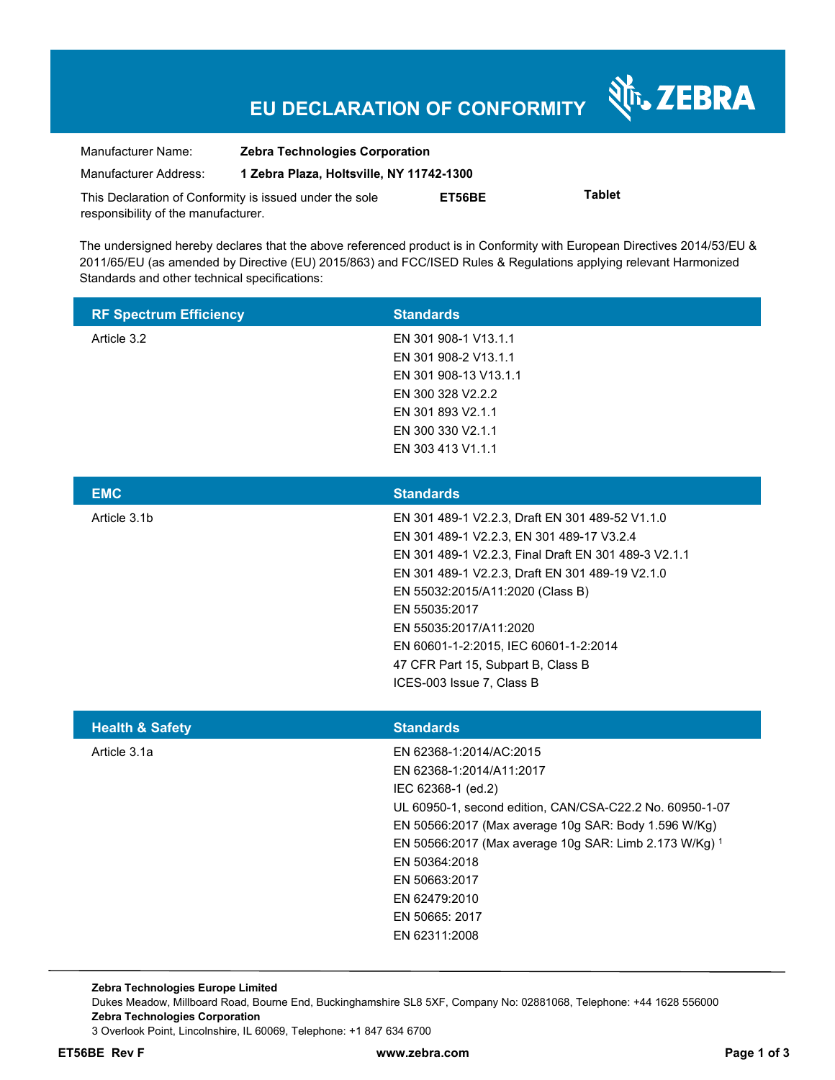# **EU DECLARATION OF CONFORMITY**

Nr. ZEBRA

| Manufacturer Name:                                      | <b>Zebra Technologies Corporation</b>    |        |               |  |
|---------------------------------------------------------|------------------------------------------|--------|---------------|--|
| Manufacturer Address:                                   | 1 Zebra Plaza, Holtsville, NY 11742-1300 |        |               |  |
| This Declaration of Conformity is issued under the sole |                                          | ET56BE | <b>Tablet</b> |  |
| responsibility of the manufacturer.                     |                                          |        |               |  |

The undersigned hereby declares that the above referenced product is in Conformity with European Directives 2014/53/EU & 2011/65/EU (as amended by Directive (EU) 2015/863) and FCC/ISED Rules & Regulations applying relevant Harmonized Standards and other technical specifications:

| <b>RF Spectrum Efficiency</b> | <b>Standards</b>                                                                                                                                                                                                                                                                                                                                                                                   |
|-------------------------------|----------------------------------------------------------------------------------------------------------------------------------------------------------------------------------------------------------------------------------------------------------------------------------------------------------------------------------------------------------------------------------------------------|
| Article 3.2                   | EN 301 908-1 V13.1.1<br>EN 301 908-2 V13.1.1<br>EN 301 908-13 V13.1.1<br>EN 300 328 V2.2.2<br>EN 301 893 V2.1.1<br>EN 300 330 V2.1.1<br>EN 303 413 V1.1.1                                                                                                                                                                                                                                          |
| <b>EMC</b>                    | <b>Standards</b>                                                                                                                                                                                                                                                                                                                                                                                   |
| Article 3.1b                  | EN 301 489-1 V2.2.3, Draft EN 301 489-52 V1.1.0<br>EN 301 489-1 V2.2.3, EN 301 489-17 V3.2.4<br>EN 301 489-1 V2.2.3, Final Draft EN 301 489-3 V2.1.1<br>EN 301 489-1 V2.2.3, Draft EN 301 489-19 V2.1.0<br>EN 55032:2015/A11:2020 (Class B)<br>EN 55035:2017<br>EN 55035:2017/A11:2020<br>EN 60601-1-2:2015, IEC 60601-1-2:2014<br>47 CFR Part 15, Subpart B, Class B<br>ICES-003 Issue 7, Class B |
| <b>Health &amp; Safety</b>    | <b>Standards</b>                                                                                                                                                                                                                                                                                                                                                                                   |
| Article 3.1a                  | EN 62368-1:2014/AC:2015<br>EN 62368-1:2014/A11:2017<br>IEC 62368-1 (ed.2)<br>UL 60950-1, second edition, CAN/CSA-C22.2 No. 60950-1-07<br>EN 50566:2017 (Max average 10g SAR: Body 1.596 W/Kg)<br>EN 50566:2017 (Max average 10g SAR: Limb 2.173 W/Kg) 1<br>EN 50364:2018<br>EN 50663:2017<br>EN 62479:2010<br>EN 50665: 2017<br>EN 62311:2008                                                      |

**Zebra Technologies Europe Limited**  Dukes Meadow, Millboard Road, Bourne End, Buckinghamshire SL8 5XF, Company No: 02881068, Telephone: +44 1628 556000 **Zebra Technologies Corporation**  3 Overlook Point, Lincolnshire, IL 60069, Telephone: +1 847 634 6700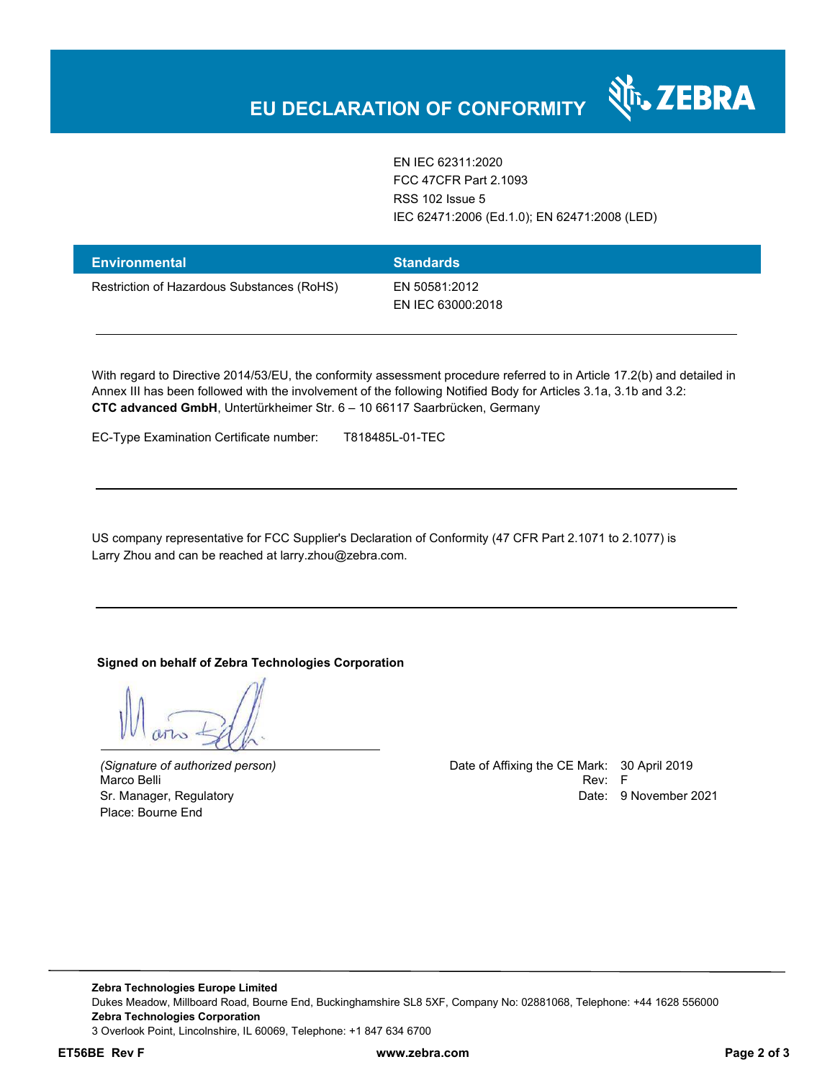EN IEC 62311:2020 FCC 47CFR Part 2.1093 RSS 102 Issue 5 IEC 62471:2006 (Ed.1.0); EN 62471:2008 (LED)

र्शे<sub>ं</sub> ZEBRA

| <b>Environmental</b>                       | <b>Standards</b>                   |
|--------------------------------------------|------------------------------------|
| Restriction of Hazardous Substances (RoHS) | EN 50581:2012<br>EN IEC 63000:2018 |

With regard to Directive 2014/53/EU, the conformity assessment procedure referred to in Article 17.2(b) and detailed in Annex III has been followed with the involvement of the following Notified Body for Articles 3.1a, 3.1b and 3.2: **CTC advanced GmbH**, Untertürkheimer Str. 6 – 10 66117 Saarbrücken, Germany

EC-Type Examination Certificate number: T818485L-01-TEC

US company representative for FCC Supplier's Declaration of Conformity (47 CFR Part 2.1071 to 2.1077) is Larry Zhou and can be reached at larry.zhou@zebra.com.

#### **Signed on behalf of Zebra Technologies Corporation**

Place: Bourne End

*(Signature of authorized person)* Date of Affixing the CE Mark: 30 April 2019 Marco Belli Rev: F Sr. Manager, Regulatory **Date: 9 November 2021**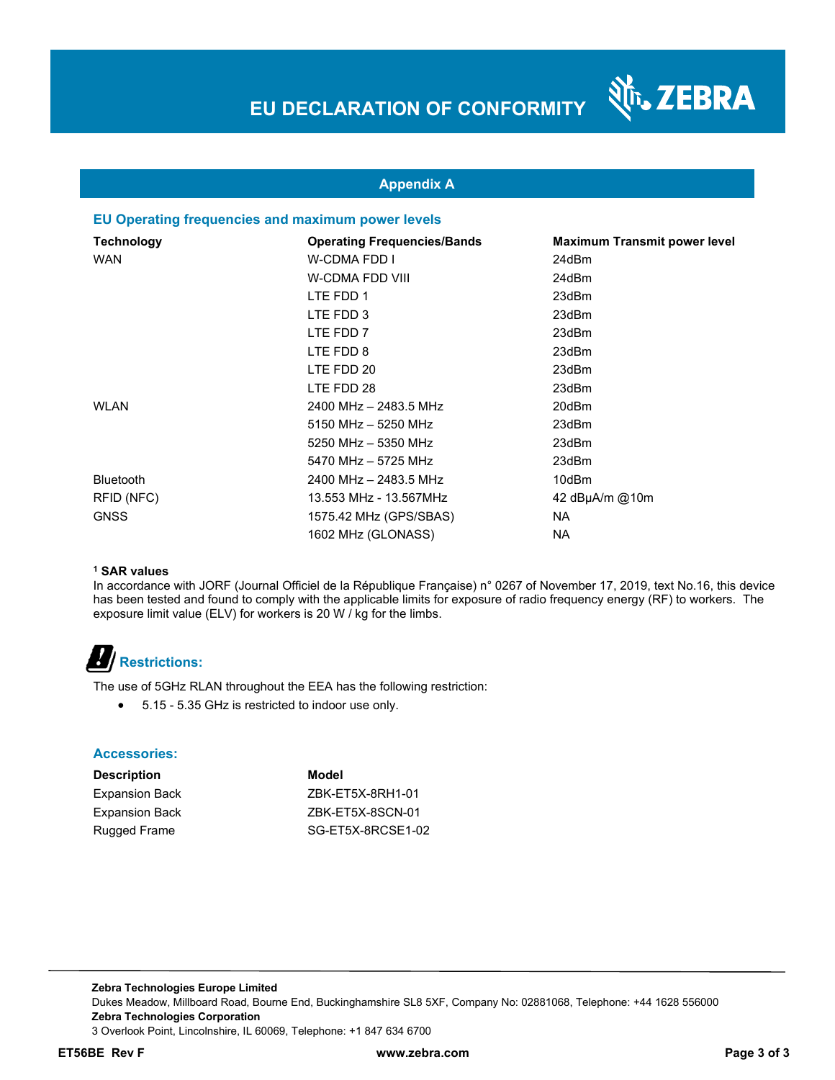

### **Appendix A**

#### **EU Operating frequencies and maximum power levels**

| <b>Technology</b> | <b>Operating Frequencies/Bands</b> | <b>Maximum Transmit power level</b> |
|-------------------|------------------------------------|-------------------------------------|
| <b>WAN</b>        | W-CDMA FDD I                       | 24dBm                               |
|                   | W-CDMA FDD VIII                    | 24dBm                               |
|                   | LTE FDD 1                          | 23dBm                               |
|                   | LTE FDD 3                          | 23dBm                               |
|                   | LTE FDD 7                          | 23dBm                               |
|                   | LTE FDD 8                          | 23dBm                               |
|                   | LTE FDD 20                         | 23dBm                               |
|                   | LTE FDD 28                         | 23dBm                               |
| WLAN              | 2400 MHz - 2483.5 MHz              | 20dBm                               |
|                   | 5150 MHz - 5250 MHz                | 23dBm                               |
|                   | 5250 MHz - 5350 MHz                | 23dBm                               |
|                   | 5470 MHz - 5725 MHz                | 23dBm                               |
| <b>Bluetooth</b>  | 2400 MHz - 2483.5 MHz              | 10dBm                               |
| RFID (NFC)        | 13.553 MHz - 13.567MHz             | 42 dBµA/m @10m                      |
| <b>GNSS</b>       | 1575.42 MHz (GPS/SBAS)             | <b>NA</b>                           |
|                   | 1602 MHz (GLONASS)                 | ΝA                                  |

#### **1 SAR values**

In accordance with JORF (Journal Officiel de la République Française) n° 0267 of November 17, 2019, text No.16, this device has been tested and found to comply with the applicable limits for exposure of radio frequency energy (RF) to workers. The exposure limit value (ELV) for workers is 20 W / kg for the limbs.

# **Restrictions:**

The use of 5GHz RLAN throughout the EEA has the following restriction:

5.15 - 5.35 GHz is restricted to indoor use only.

#### **Accessories:**

| <b>Description</b>    | Model             |
|-----------------------|-------------------|
| <b>Expansion Back</b> | ZBK-ET5X-8RH1-01  |
| <b>Expansion Back</b> | ZBK-ET5X-8SCN-01  |
| Rugged Frame          | SG-ET5X-8RCSE1-02 |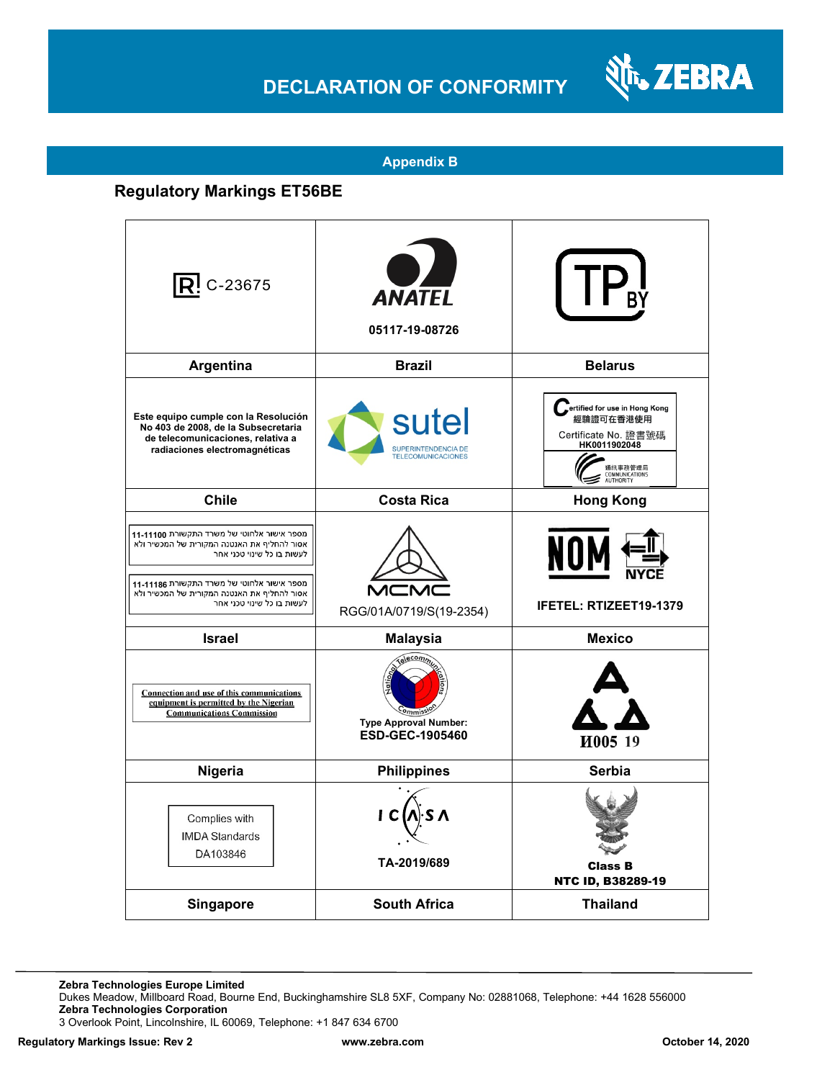## **DECLARATION OF CONFORMITY**



#### **Appendix B**

### **Regulatory Markings ET56BE**

| $\mathsf{R}$ ! C-23675                                                                                                                                                                                                                             | <b>ANATEL</b><br>05117-19-08726                             |                                                                                                                              |
|----------------------------------------------------------------------------------------------------------------------------------------------------------------------------------------------------------------------------------------------------|-------------------------------------------------------------|------------------------------------------------------------------------------------------------------------------------------|
| Argentina                                                                                                                                                                                                                                          | <b>Brazil</b>                                               | <b>Belarus</b>                                                                                                               |
| Este equipo cumple con la Resolución<br>No 403 de 2008, de la Subsecretaria<br>de telecomunicaciones, relativa a<br>radiaciones electromagnéticas                                                                                                  | sutel<br>SUPERINTENDENCIA DE<br><b>TELECOMUNICACIONES</b>   | ertified for use in Hong Kong<br>經驗證可在香港使用<br>Certificate No. 證書號碼<br>HK0011902048<br>通訊事務管理局<br>COMMUNICATIONS<br>AUTHORITY |
| <b>Chile</b>                                                                                                                                                                                                                                       | Costa Rica                                                  | <b>Hong Kong</b>                                                                                                             |
| מספר אישור אלחוטי של משרד התקשורת 11-11100<br>אסור להחליף את האנטנה המקורית של המכשיר ולא<br>לעשות בו כל שינוי טכני אחר<br>מספר אישור אלחוטי של משרד התקשורת 11-11186<br>אסור להחליף את האנטנה המקורית של המכשיר ולא<br>לעשות בו כל שינוי טכני אחר | $\mathsf{M}\mathsf{C}$<br>RGG/01A/0719/S(19-2354)           | NOI<br><b>IFETEL: RTIZEET19-1379</b>                                                                                         |
| <b>Israel</b>                                                                                                                                                                                                                                      | <b>Malaysia</b>                                             | <b>Mexico</b>                                                                                                                |
| Connection and use of this communications<br>equipment is permitted by the Nigerian<br><b>Communications Commission</b>                                                                                                                            | Telecom,<br><b>Type Approval Number:</b><br>ESD-GEC-1905460 | И005 19                                                                                                                      |
| Nigeria                                                                                                                                                                                                                                            | <b>Philippines</b>                                          | Serbia                                                                                                                       |
| Complies with<br><b>IMDA Standards</b><br>DA103846                                                                                                                                                                                                 | TA-2019/689                                                 | <b>Class B</b><br>NTC ID, B38289-19                                                                                          |
| Singapore                                                                                                                                                                                                                                          | <b>South Africa</b>                                         | <b>Thailand</b>                                                                                                              |

**Zebra Technologies Europe Limited**

Dukes Meadow, Millboard Road, Bourne End, Buckinghamshire SL8 5XF, Company No: 02881068, Telephone: +44 1628 556000 **Zebra Technologies Corporation** 

3 Overlook Point, Lincolnshire, IL 60069, Telephone: +1 847 634 6700